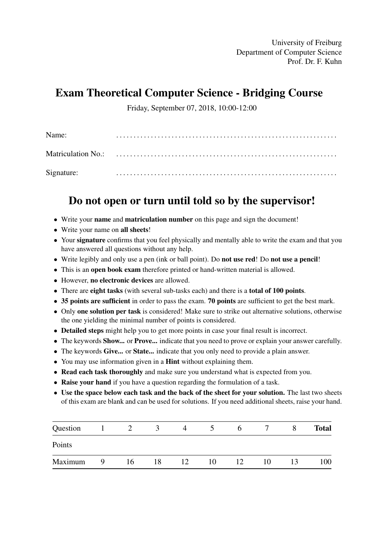University of Freiburg Department of Computer Science Prof. Dr. F. Kuhn

## Exam Theoretical Computer Science - Bridging Course

Friday, September 07, 2018, 10:00-12:00

| Name:      |  |
|------------|--|
|            |  |
| Signature: |  |

## Do not open or turn until told so by the supervisor!

- Write your name and matriculation number on this page and sign the document!
- Write your name on all sheets!
- Your signature confirms that you feel physically and mentally able to write the exam and that you have answered all questions without any help.
- Write legibly and only use a pen (ink or ball point). Do **not use red!** Do **not use a pencil!**
- This is an open book exam therefore printed or hand-written material is allowed.
- However, no electronic devices are allowed.
- There are eight tasks (with several sub-tasks each) and there is a total of 100 points.
- 35 points are sufficient in order to pass the exam. 70 points are sufficient to get the best mark.
- Only one solution per task is considered! Make sure to strike out alternative solutions, otherwise the one yielding the minimal number of points is considered.
- Detailed steps might help you to get more points in case your final result is incorrect.
- The keywords **Show...** or **Prove...** indicate that you need to prove or explain your answer carefully.
- The keywords Give... or State... indicate that you only need to provide a plain answer.
- You may use information given in a **Hint** without explaining them.
- Read each task thoroughly and make sure you understand what is expected from you.
- Raise your hand if you have a question regarding the formulation of a task.
- Use the space below each task and the back of the sheet for your solution. The last two sheets of this exam are blank and can be used for solutions. If you need additional sheets, raise your hand.

| Question |   |    | $\mathcal{L}$ | 4  |    | <sub>0</sub> |    |    | <b>Total</b> |
|----------|---|----|---------------|----|----|--------------|----|----|--------------|
| Points   |   |    |               |    |    |              |    |    |              |
| Maximum  | Q | 16 | 18            | 12 | 10 | 12           | 10 | 13 | 100          |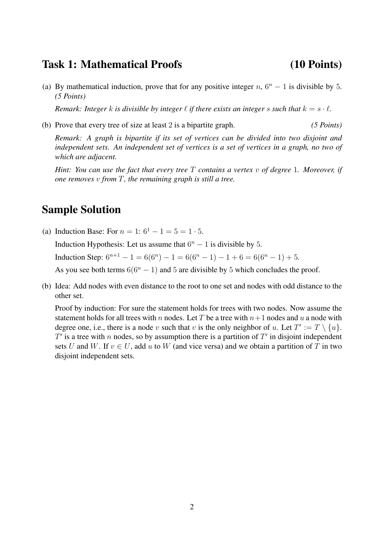### Task 1: Mathematical Proofs (10 Points)

(a) By mathematical induction, prove that for any positive integer  $n$ ,  $6^n - 1$  is divisible by 5. *(5 Points)*

*Remark: Integer* k *is divisible by integer*  $\ell$  *if there exists an integer* s such that  $k = s \cdot \ell$ .

(b) Prove that every tree of size at least 2 is a bipartite graph. *(5 Points)*

*Remark: A graph is bipartite if its set of vertices can be divided into two disjoint and independent sets. An independent set of vertices is a set of vertices in a graph, no two of which are adjacent.*

*Hint: You can use the fact that every tree* T *contains a vertex* v *of degree* 1*. Moreover, if one removes* v *from* T*, the remaining graph is still a tree.*

### Sample Solution

(a) Induction Base: For  $n = 1$ :  $6^1 - 1 = 5 = 1 \cdot 5$ . Induction Hypothesis: Let us assume that  $6<sup>n</sup> - 1$  is divisible by 5. Induction Step:  $6^{n+1} - 1 = 6(6^n) - 1 = 6(6^n - 1) - 1 + 6 = 6(6^n - 1) + 5.$ 

As you see both terms  $6(6^n - 1)$  and 5 are divisible by 5 which concludes the proof.

(b) Idea: Add nodes with even distance to the root to one set and nodes with odd distance to the other set.

Proof by induction: For sure the statement holds for trees with two nodes. Now assume the statement holds for all trees with n nodes. Let T be a tree with  $n+1$  nodes and u a node with degree one, i.e., there is a node v such that v is the only neighbor of u. Let  $T' := T \setminus \{u\}.$  $T'$  is a tree with n nodes, so by assumption there is a partition of  $T'$  in disjoint independent sets U and W. If  $v \in U$ , add u to W (and vice versa) and we obtain a partition of T in two disjoint independent sets.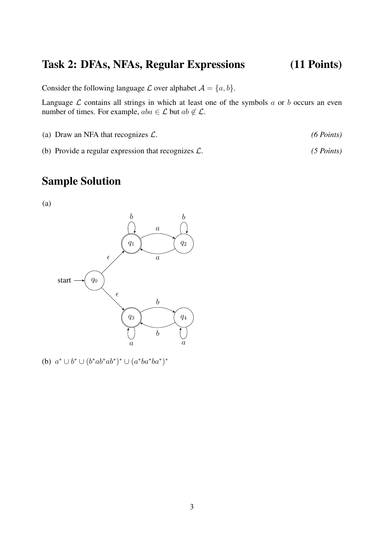## Task 2: DFAs, NFAs, Regular Expressions (11 Points)

Consider the following language  $\mathcal L$  over alphabet  $\mathcal A = \{a, b\}.$ 

Language  $\mathcal L$  contains all strings in which at least one of the symbols  $a$  or  $b$  occurs an even number of times. For example,  $aba \in \mathcal{L}$  but  $ab \notin \mathcal{L}$ .

(a) Draw an NFA that recognizes L. *(6 Points)*

(b) Provide a regular expression that recognizes L. *(5 Points)*

## Sample Solution

(a)



(b)  $a^* \cup b^* \cup (b^*ab^*ab^*)^* \cup (a^*ba^*b^*)^*$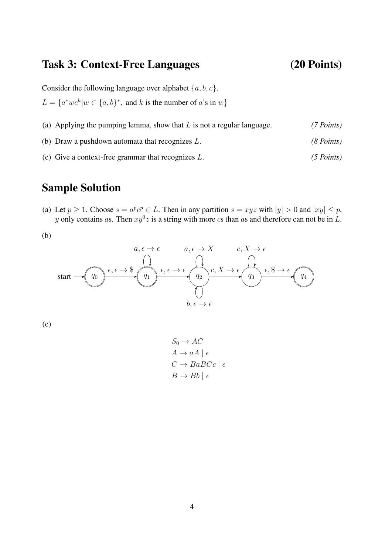# Task 3: Context-Free Languages (20 Points)

Consider the following language over alphabet  $\{a, b, c\}$ .

 $L = \{a^*wc^k | w \in \{a, b\}^*$ , and k is the number of a's in w}

- (a) Applying the pumping lemma, show that L is not a regular language. *(7 Points)*
- (b) Draw a pushdown automata that recognizes L. *(8 Points)*
- (c) Give a context-free grammar that recognizes L. *(5 Points)*

## Sample Solution

- (a) Let  $p \ge 1$ . Choose  $s = a^p c^p \in L$ . Then in any partition  $s = xyz$  with  $|y| > 0$  and  $|xy| \le p$ , y only contains as. Then  $xy^0z$  is a string with more cs than as and therefore can not be in L.
- (b)



(c)

 $S_0 \rightarrow AC$  $A \rightarrow aA \mid \epsilon$  $C \rightarrow BaBCc \mid \epsilon$  $B \to Bb \mid \epsilon$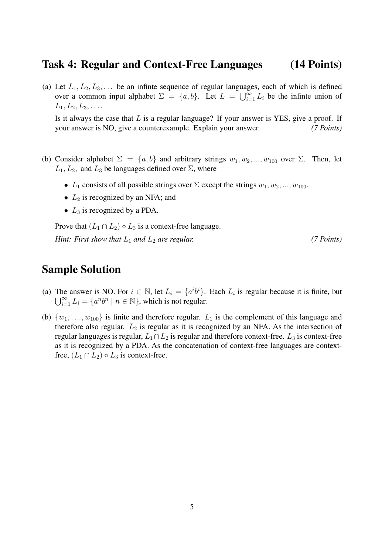#### Task 4: Regular and Context-Free Languages (14 Points)

(a) Let  $L_1, L_2, L_3, \ldots$  be an infinte sequence of regular languages, each of which is defined over a common input alphabet  $\Sigma = \{a, b\}$ . Let  $L = \bigcup_{i=1}^{\infty} L_i$  be the infinte union of  $L_1, L_2, L_3, \ldots$ 

Is it always the case that  $L$  is a regular language? If your answer is YES, give a proof. If your answer is NO, give a counterexample. Explain your answer. *(7 Points)*

- (b) Consider alphabet  $\Sigma = \{a, b\}$  and arbitrary strings  $w_1, w_2, ..., w_{100}$  over  $\Sigma$ . Then, let  $L_1, L_2$ , and  $L_3$  be languages defined over  $\Sigma$ , where
	- $L_1$  consists of all possible strings over  $\Sigma$  except the strings  $w_1, w_2, ..., w_{100}$ .
	- $L_2$  is recognized by an NFA; and
	- $L_3$  is recognized by a PDA.

Prove that  $(L_1 \cap L_2) \circ L_3$  is a context-free language.

*Hint: First show that*  $L_1$  *and*  $L_2$  *are regular.* (7 *Points*)

#### Sample Solution

- (a) The answer is NO. For  $i \in \mathbb{N}$ , let  $L_i = \{a^i b^i\}$ . Each  $L_i$  is regular because it is finite, but  $\bigcup_{i=1}^{\infty} L_i = \{a^n b^n \mid n \in \mathbb{N}\}\,$ , which is not regular.
- (b)  $\{w_1, \ldots, w_{100}\}$  is finite and therefore regular.  $L_1$  is the complement of this language and therefore also regular.  $L_2$  is regular as it is recognized by an NFA. As the intersection of regular languages is regular,  $L_1 \cap L_2$  is regular and therefore context-free.  $L_3$  is context-free as it is recognized by a PDA. As the concatenation of context-free languages are contextfree,  $(L_1 \cap L_2) \circ L_3$  is context-free.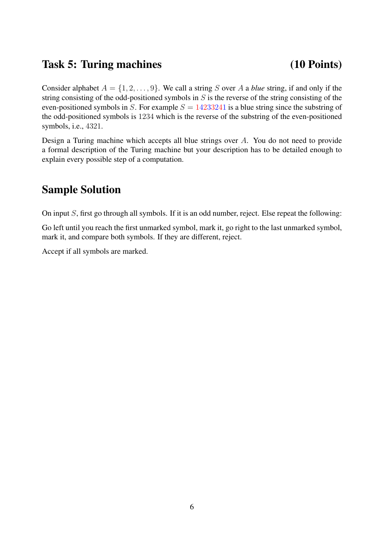### Task 5: Turing machines (10 Points)

Consider alphabet  $A = \{1, 2, \ldots, 9\}$ . We call a string S over A a *blue* string, if and only if the string consisting of the odd-positioned symbols in  $S$  is the reverse of the string consisting of the even-positioned symbols in S. For example  $S = 14233241$  is a blue string since the substring of the odd-positioned symbols is 1234 which is the reverse of the substring of the even-positioned symbols, i.e., 4321.

Design a Turing machine which accepts all blue strings over A. You do not need to provide a formal description of the Turing machine but your description has to be detailed enough to explain every possible step of a computation.

## Sample Solution

On input S, first go through all symbols. If it is an odd number, reject. Else repeat the following:

Go left until you reach the first unmarked symbol, mark it, go right to the last unmarked symbol, mark it, and compare both symbols. If they are different, reject.

Accept if all symbols are marked.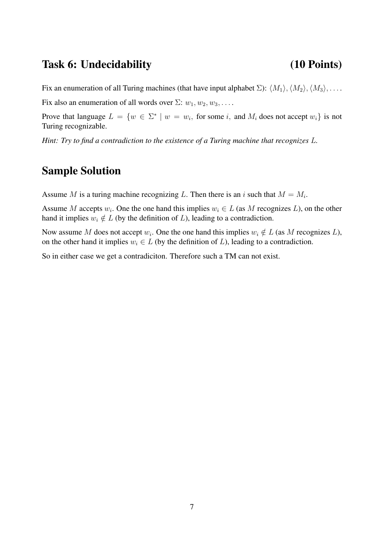## Task 6: Undecidability (10 Points)

Fix an enumeration of all Turing machines (that have input alphabet  $\Sigma$ ):  $\langle M_1 \rangle$ ,  $\langle M_2 \rangle$ ,  $\langle M_3 \rangle$ , ...

Fix also an enumeration of all words over  $\Sigma: w_1, w_2, w_3, \ldots$ .

Prove that language  $L = \{w \in \Sigma^* \mid w = w_i, \text{ for some } i, \text{ and } M_i \text{ does not accept } w_i\}$  is not Turing recognizable.

*Hint: Try to find a contradiction to the existence of a Turing machine that recognizes* L*.*

# Sample Solution

Assume M is a turing machine recognizing L. Then there is an i such that  $M = M_i$ .

Assume M accepts  $w_i$ . One the one hand this implies  $w_i \in L$  (as M recognizes L), on the other hand it implies  $w_i \notin L$  (by the definition of L), leading to a contradiction.

Now assume M does not accept  $w_i$ . One the one hand this implies  $w_i \notin L$  (as M recognizes L), on the other hand it implies  $w_i \in L$  (by the definition of L), leading to a contradiction.

So in either case we get a contradiciton. Therefore such a TM can not exist.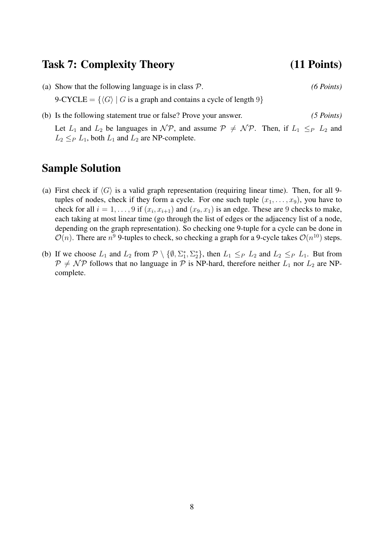### Task 7: Complexity Theory (11 Points)

- (a) Show that the following language is in class P. *(6 Points)* 9-CYCLE =  $\{\langle G \rangle | G$  is a graph and contains a cycle of length 9}
- (b) Is the following statement true or false? Prove your answer. *(5 Points)* Let  $L_1$  and  $L_2$  be languages in  $\mathcal{NP}$ , and assume  $\mathcal{P} \neq \mathcal{NP}$ . Then, if  $L_1 \leq_P L_2$  and  $L_2 \leq_P L_1$ , both  $L_1$  and  $L_2$  are NP-complete.

### Sample Solution

- (a) First check if  $\langle G \rangle$  is a valid graph representation (requiring linear time). Then, for all 9tuples of nodes, check if they form a cycle. For one such tuple  $(x_1, \ldots, x_9)$ , you have to check for all  $i = 1, \ldots, 9$  if  $(x_i, x_{i+1})$  and  $(x_9, x_1)$  is an edge. These are 9 checks to make, each taking at most linear time (go through the list of edges or the adjacency list of a node, depending on the graph representation). So checking one 9-tuple for a cycle can be done in  $\mathcal{O}(n)$ . There are  $n^9$  9-tuples to check, so checking a graph for a 9-cycle takes  $\mathcal{O}(n^{10})$  steps.
- (b) If we choose  $L_1$  and  $L_2$  from  $\mathcal{P} \setminus \{ \emptyset, \Sigma_1^*, \Sigma_2^* \}$ , then  $L_1 \leq_P L_2$  and  $L_2 \leq_P L_1$ . But from  $P \neq \mathcal{NP}$  follows that no language in P is NP-hard, therefore neither  $L_1$  nor  $L_2$  are NPcomplete.